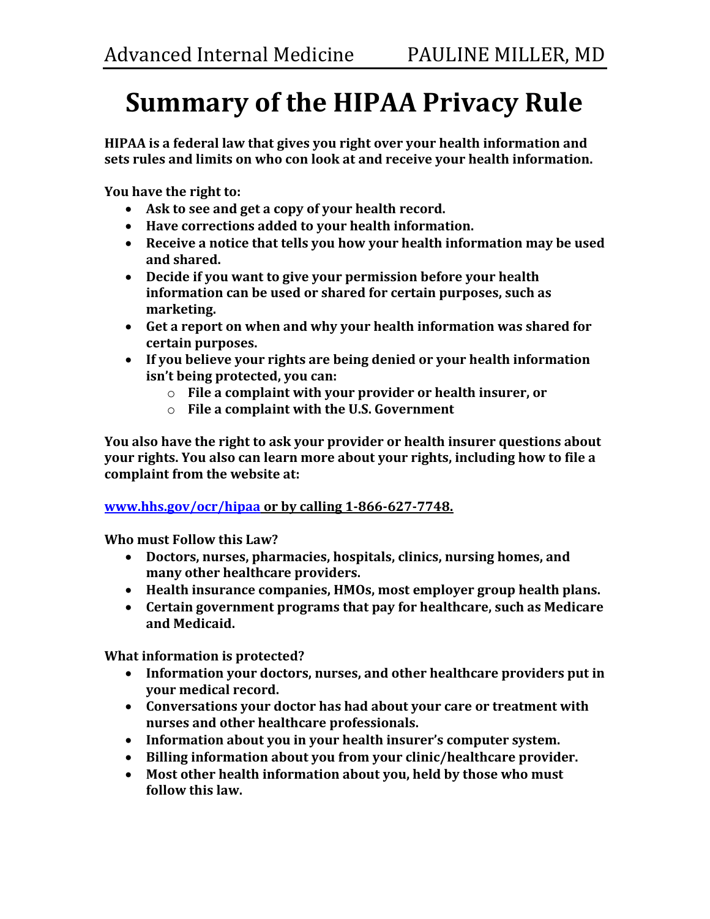## **Summary of the HIPAA Privacy Rule**

**HIPAA is a federal law that gives you right over your health information and sets rules and limits on who con look at and receive your health information.**

**You have the right to:**

- **Ask to see and get a copy of your health record.**
- **Have corrections added to your health information.**
- **Receive a notice that tells you how your health information may be used and shared.**
- **Decide if you want to give your permission before your health information can be used or shared for certain purposes, such as marketing.**
- **Get a report on when and why your health information was shared for certain purposes.**
- **If you believe your rights are being denied or your health information isn't being protected, you can:**
	- o **File a complaint with your provider or health insurer, or**
	- o **File a complaint with the U.S. Government**

**You also have the right to ask your provider or health insurer questions about your rights. You also can learn more about your rights, including how to file a complaint from the website at:**

## **[www.hhs.gov/ocr/hipaa](http://www.hhs.gov/ocr/hipaa) or by calling 1-866-627-7748.**

**Who must Follow this Law?**

- **Doctors, nurses, pharmacies, hospitals, clinics, nursing homes, and many other healthcare providers.**
- **Health insurance companies, HMOs, most employer group health plans.**
- **Certain government programs that pay for healthcare, such as Medicare and Medicaid.**

**What information is protected?**

- **Information your doctors, nurses, and other healthcare providers put in your medical record.**
- **Conversations your doctor has had about your care or treatment with nurses and other healthcare professionals.**
- **Information about you in your health insurer's computer system.**
- **Billing information about you from your clinic/healthcare provider.**
- **Most other health information about you, held by those who must follow this law.**